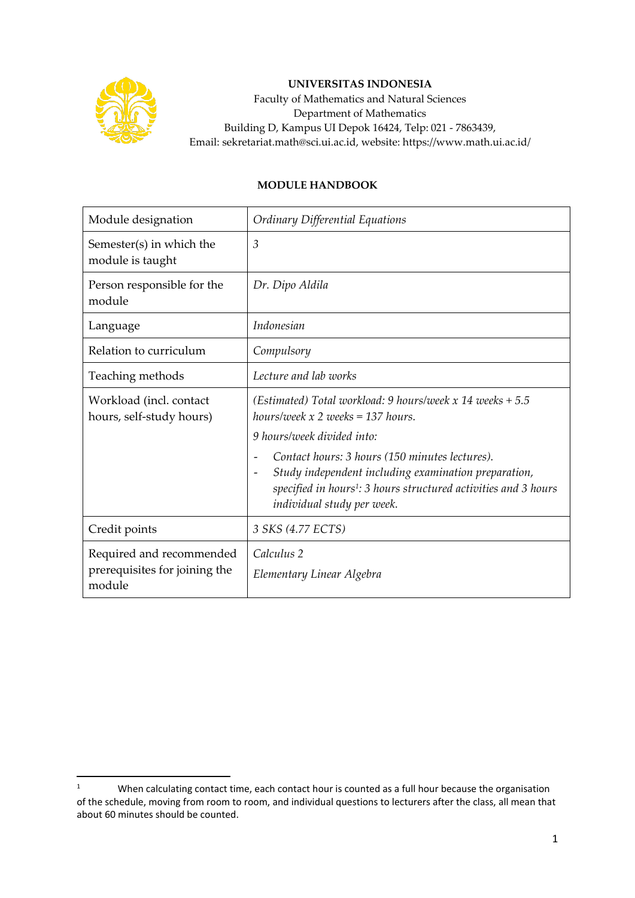

## **UNIVERSITAS INDONESIA**

Faculty of Mathematics and Natural Sciences Department of Mathematics Building D, Kampus UI Depok 16424, Telp: 021 - 7863439, Email: sekretariat.math@sci.ui.ac.id, website: https://www.math.ui.ac.id/

## **MODULE HANDBOOK**

| Module designation                                                  | Ordinary Differential Equations                                                                                                                                                                                     |
|---------------------------------------------------------------------|---------------------------------------------------------------------------------------------------------------------------------------------------------------------------------------------------------------------|
| Semester(s) in which the<br>module is taught                        | $\mathfrak{Z}$                                                                                                                                                                                                      |
| Person responsible for the<br>module                                | Dr. Dipo Aldila                                                                                                                                                                                                     |
| Language                                                            | Indonesian                                                                                                                                                                                                          |
| Relation to curriculum                                              | Compulsory                                                                                                                                                                                                          |
| Teaching methods                                                    | Lecture and lab works                                                                                                                                                                                               |
| Workload (incl. contact<br>hours, self-study hours)                 | (Estimated) Total workload: 9 hours/week x 14 weeks $+ 5.5$<br>hours/week $x 2$ weeks = 137 hours.                                                                                                                  |
|                                                                     | 9 hours/week divided into:                                                                                                                                                                                          |
|                                                                     | Contact hours: 3 hours (150 minutes lectures).<br>Study independent including examination preparation,<br>specified in hours <sup>1</sup> : 3 hours structured activities and 3 hours<br>individual study per week. |
| Credit points                                                       | 3 SKS (4.77 ECTS)                                                                                                                                                                                                   |
| Required and recommended<br>prerequisites for joining the<br>module | Calculus 2<br>Elementary Linear Algebra                                                                                                                                                                             |

<sup>&</sup>lt;sup>1</sup> When calculating contact time, each contact hour is counted as a full hour because the organisation of the schedule, moving from room to room, and individual questions to lecturers after the class, all mean that about 60 minutes should be counted.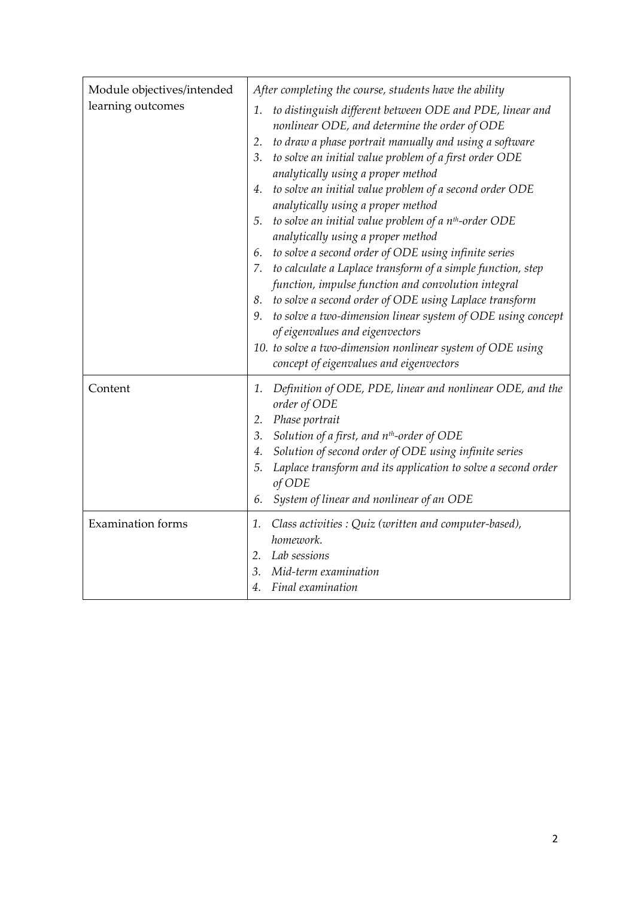| Module objectives/intended<br>learning outcomes | After completing the course, students have the ability<br>to distinguish different between ODE and PDE, linear and<br>1.<br>nonlinear ODE, and determine the order of ODE<br>to draw a phase portrait manually and using a software<br>2.<br>3. to solve an initial value problem of a first order ODE<br>analytically using a proper method                                                                                                                                                      |
|-------------------------------------------------|---------------------------------------------------------------------------------------------------------------------------------------------------------------------------------------------------------------------------------------------------------------------------------------------------------------------------------------------------------------------------------------------------------------------------------------------------------------------------------------------------|
|                                                 | 4. to solve an initial value problem of a second order ODE<br>analytically using a proper method<br>5. to solve an initial value problem of a $n^{th}$ -order ODE                                                                                                                                                                                                                                                                                                                                 |
|                                                 | analytically using a proper method<br>6. to solve a second order of ODE using infinite series<br>7. to calculate a Laplace transform of a simple function, step<br>function, impulse function and convolution integral<br>8. to solve a second order of ODE using Laplace transform<br>9. to solve a two-dimension linear system of ODE using concept<br>of eigenvalues and eigenvectors<br>10. to solve a two-dimension nonlinear system of ODE using<br>concept of eigenvalues and eigenvectors |
| Content                                         | Definition of ODE, PDE, linear and nonlinear ODE, and the<br>1.<br>order of ODE<br>2. Phase portrait<br>3. Solution of a first, and n <sup>th</sup> -order of ODE<br>4. Solution of second order of ODE using infinite series<br>Laplace transform and its application to solve a second order<br>5.<br>of ODE<br>6. System of linear and nonlinear of an ODE                                                                                                                                     |
| <b>Examination</b> forms                        | 1. Class activities : Quiz (written and computer-based),<br>homework.<br>2. Lab sessions<br>Mid-term examination<br>3.<br>Final examination<br>4.                                                                                                                                                                                                                                                                                                                                                 |